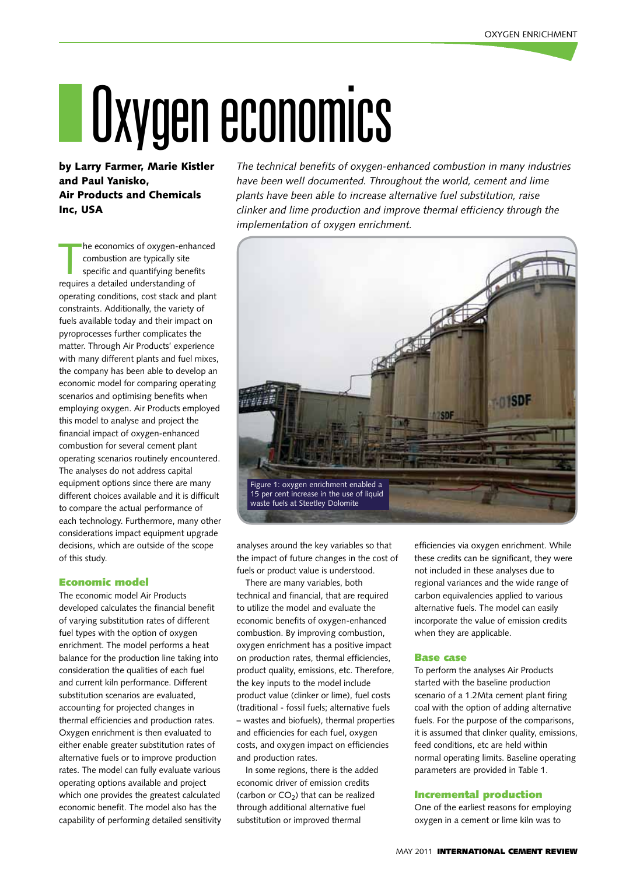# IOxygen economics

by Larry Farmer, Marie Kistler and Paul Yanisko, Air Products and Chemicals Inc, USA

he economics of oxygen-enha<br>
combustion are typically site<br>
specific and quantifying benef<br>
requires a detailed understanding of he economics of oxygen-enhanced combustion are typically site specific and quantifying benefits operating conditions, cost stack and plant constraints. Additionally, the variety of fuels available today and their impact on pyroprocesses further complicates the matter. Through Air Products' experience with many different plants and fuel mixes, the company has been able to develop an economic model for comparing operating scenarios and optimising benefits when employing oxygen. Air Products employed this model to analyse and project the financial impact of oxygen-enhanced combustion for several cement plant operating scenarios routinely encountered. The analyses do not address capital equipment options since there are many different choices available and it is difficult to compare the actual performance of each technology. Furthermore, many other considerations impact equipment upgrade decisions, which are outside of the scope of this study.

#### Economic model

The economic model Air Products developed calculates the financial benefit of varying substitution rates of different fuel types with the option of oxygen enrichment. The model performs a heat balance for the production line taking into consideration the qualities of each fuel and current kiln performance. Different substitution scenarios are evaluated, accounting for projected changes in thermal efficiencies and production rates. Oxygen enrichment is then evaluated to either enable greater substitution rates of alternative fuels or to improve production rates. The model can fully evaluate various operating options available and project which one provides the greatest calculated economic benefit. The model also has the capability of performing detailed sensitivity

*The technical benefits of oxygen-enhanced combustion in many industries have been well documented. Throughout the world, cement and lime plants have been able to increase alternative fuel substitution, raise clinker and lime production and improve thermal efficiency through the implementation of oxygen enrichment.* 



analyses around the key variables so that the impact of future changes in the cost of fuels or product value is understood.

There are many variables, both technical and financial, that are required to utilize the model and evaluate the economic benefits of oxygen-enhanced combustion. By improving combustion, oxygen enrichment has a positive impact on production rates, thermal efficiencies, product quality, emissions, etc. Therefore, the key inputs to the model include product value (clinker or lime), fuel costs (traditional - fossil fuels; alternative fuels – wastes and biofuels), thermal properties and efficiencies for each fuel, oxygen costs, and oxygen impact on efficiencies and production rates.

In some regions, there is the added economic driver of emission credits (carbon or  $CO<sub>2</sub>$ ) that can be realized through additional alternative fuel substitution or improved thermal

efficiencies via oxygen enrichment. While these credits can be significant, they were not included in these analyses due to regional variances and the wide range of carbon equivalencies applied to various alternative fuels. The model can easily incorporate the value of emission credits when they are applicable.

#### Base case

To perform the analyses Air Products started with the baseline production scenario of a 1.2Mta cement plant firing coal with the option of adding alternative fuels. For the purpose of the comparisons, it is assumed that clinker quality, emissions, feed conditions, etc are held within normal operating limits. Baseline operating parameters are provided in Table 1.

#### Incremental production

One of the earliest reasons for employing oxygen in a cement or lime kiln was to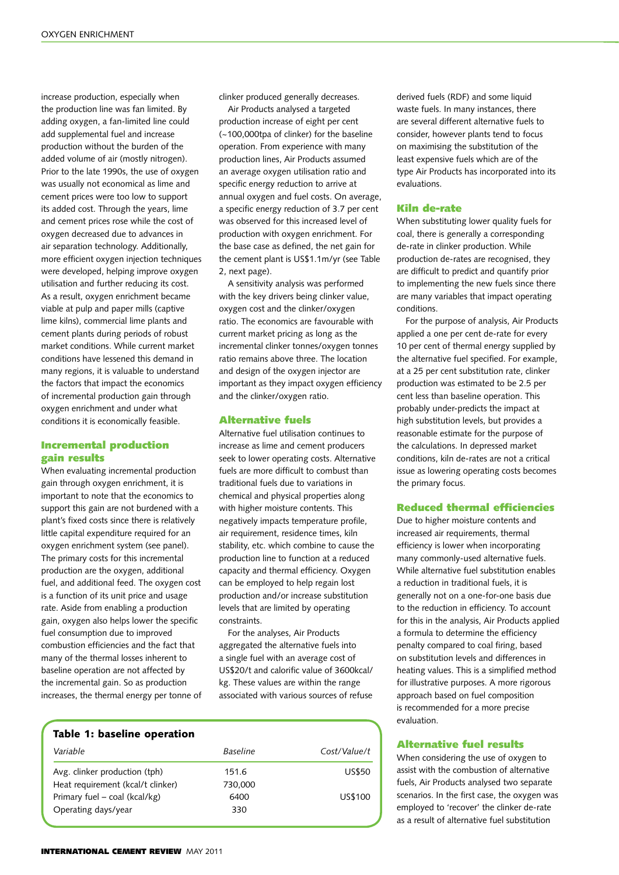increase production, especially when the production line was fan limited. By adding oxygen, a fan-limited line could add supplemental fuel and increase production without the burden of the added volume of air (mostly nitrogen). Prior to the late 1990s, the use of oxygen was usually not economical as lime and cement prices were too low to support its added cost. Through the years, lime and cement prices rose while the cost of oxygen decreased due to advances in air separation technology. Additionally, more efficient oxygen injection techniques were developed, helping improve oxygen utilisation and further reducing its cost. As a result, oxygen enrichment became viable at pulp and paper mills (captive lime kilns), commercial lime plants and cement plants during periods of robust market conditions. While current market conditions have lessened this demand in many regions, it is valuable to understand the factors that impact the economics of incremental production gain through oxygen enrichment and under what conditions it is economically feasible.

## Incremental production gain results

When evaluating incremental production gain through oxygen enrichment, it is important to note that the economics to support this gain are not burdened with a plant's fixed costs since there is relatively little capital expenditure required for an oxygen enrichment system (see panel). The primary costs for this incremental production are the oxygen, additional fuel, and additional feed. The oxygen cost is a function of its unit price and usage rate. Aside from enabling a production gain, oxygen also helps lower the specific fuel consumption due to improved combustion efficiencies and the fact that many of the thermal losses inherent to baseline operation are not affected by the incremental gain. So as production increases, the thermal energy per tonne of clinker produced generally decreases.

Air Products analysed a targeted production increase of eight per cent (~100,000tpa of clinker) for the baseline operation. From experience with many production lines, Air Products assumed an average oxygen utilisation ratio and specific energy reduction to arrive at annual oxygen and fuel costs. On average, a specific energy reduction of 3.7 per cent was observed for this increased level of production with oxygen enrichment. For the base case as defined, the net gain for the cement plant is US\$1.1m/yr (see Table 2, next page).

A sensitivity analysis was performed with the key drivers being clinker value, oxygen cost and the clinker/oxygen ratio. The economics are favourable with current market pricing as long as the incremental clinker tonnes/oxygen tonnes ratio remains above three. The location and design of the oxygen injector are important as they impact oxygen efficiency and the clinker/oxygen ratio.

#### Alternative fuels

Alternative fuel utilisation continues to increase as lime and cement producers seek to lower operating costs. Alternative fuels are more difficult to combust than traditional fuels due to variations in chemical and physical properties along with higher moisture contents. This negatively impacts temperature profile, air requirement, residence times, kiln stability, etc. which combine to cause the production line to function at a reduced capacity and thermal efficiency. Oxygen can be employed to help regain lost production and/or increase substitution levels that are limited by operating constraints.

For the analyses, Air Products aggregated the alternative fuels into a single fuel with an average cost of US\$20/t and calorific value of 3600kcal/ kg. These values are within the range associated with various sources of refuse

| Table 1: baseline operation       |                 |               |  |  |  |
|-----------------------------------|-----------------|---------------|--|--|--|
| Variable                          | <b>Baseline</b> | Cost/Value/t  |  |  |  |
| Avg. clinker production (tph)     | 151.6           | <b>US\$50</b> |  |  |  |
| Heat requirement (kcal/t clinker) | 730,000         |               |  |  |  |
| Primary fuel – coal (kcal/kg)     | 6400            | US\$100       |  |  |  |
| Operating days/year               | 330             |               |  |  |  |
|                                   |                 |               |  |  |  |

derived fuels (RDF) and some liquid waste fuels. In many instances, there are several different alternative fuels to consider, however plants tend to focus on maximising the substitution of the least expensive fuels which are of the type Air Products has incorporated into its evaluations.

#### Kiln de-rate

When substituting lower quality fuels for coal, there is generally a corresponding de-rate in clinker production. While production de-rates are recognised, they are difficult to predict and quantify prior to implementing the new fuels since there are many variables that impact operating conditions.

For the purpose of analysis, Air Products applied a one per cent de-rate for every 10 per cent of thermal energy supplied by the alternative fuel specified. For example, at a 25 per cent substitution rate, clinker production was estimated to be 2.5 per cent less than baseline operation. This probably under-predicts the impact at high substitution levels, but provides a reasonable estimate for the purpose of the calculations. In depressed market conditions, kiln de-rates are not a critical issue as lowering operating costs becomes the primary focus.

#### Reduced thermal efficiencies

Due to higher moisture contents and increased air requirements, thermal efficiency is lower when incorporating many commonly-used alternative fuels. While alternative fuel substitution enables a reduction in traditional fuels, it is generally not on a one-for-one basis due to the reduction in efficiency. To account for this in the analysis, Air Products applied a formula to determine the efficiency penalty compared to coal firing, based on substitution levels and differences in heating values. This is a simplified method for illustrative purposes. A more rigorous approach based on fuel composition is recommended for a more precise evaluation.

#### Alternative fuel results

When considering the use of oxygen to assist with the combustion of alternative fuels, Air Products analysed two separate scenarios. In the first case, the oxygen was employed to 'recover' the clinker de-rate as a result of alternative fuel substitution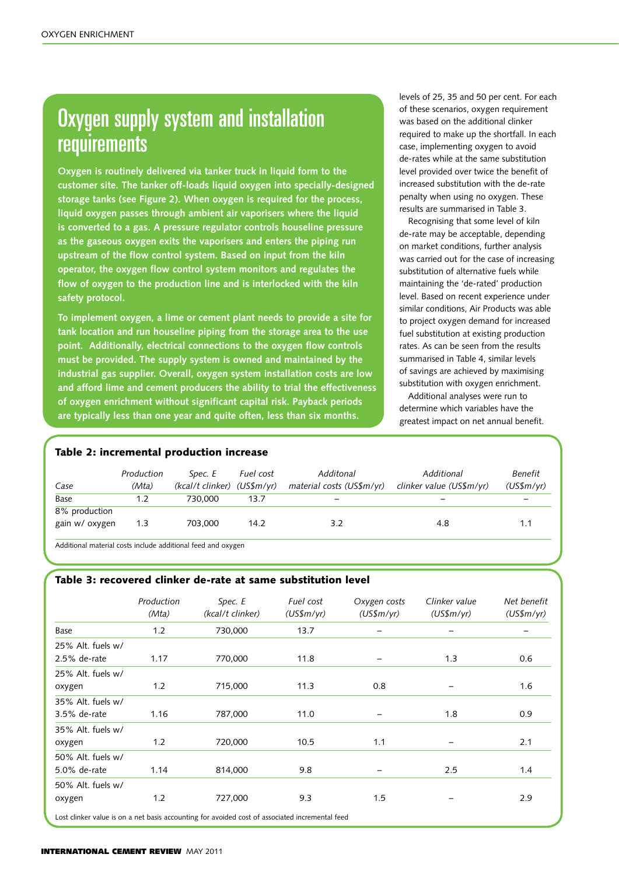# **Oxygen supply system and installation** requirements

**Oxygen is routinely delivered via tanker truck in liquid form to the customer site. The tanker off-loads liquid oxygen into specially-designed storage tanks (see Figure 2). When oxygen is required for the process, liquid oxygen passes through ambient air vaporisers where the liquid is converted to a gas. A pressure regulator controls houseline pressure as the gaseous oxygen exits the vaporisers and enters the piping run upstream of the flow control system. Based on input from the kiln operator, the oxygen flow control system monitors and regulates the flow of oxygen to the production line and is interlocked with the kiln safety protocol.** 

**To implement oxygen, a lime or cement plant needs to provide a site for tank location and run houseline piping from the storage area to the use point. Additionally, electrical connections to the oxygen flow controls must be provided. The supply system is owned and maintained by the industrial gas supplier. Overall, oxygen system installation costs are low and afford lime and cement producers the ability to trial the effectiveness of oxygen enrichment without significant capital risk. Payback periods are typically less than one year and quite often, less than six months.**

levels of 25, 35 and 50 per cent. For each of these scenarios, oxygen requirement was based on the additional clinker required to make up the shortfall. In each case, implementing oxygen to avoid de-rates while at the same substitution level provided over twice the benefit of increased substitution with the de-rate penalty when using no oxygen. These results are summarised in Table 3.

Recognising that some level of kiln de-rate may be acceptable, depending on market conditions, further analysis was carried out for the case of increasing substitution of alternative fuels while maintaining the 'de-rated' production level. Based on recent experience under similar conditions, Air Products was able to project oxygen demand for increased fuel substitution at existing production rates. As can be seen from the results summarised in Table 4, similar levels of savings are achieved by maximising substitution with oxygen enrichment.

Additional analyses were run to determine which variables have the greatest impact on net annual benefit.

# Table 2: incremental production increase

| Case                            | Production<br>(Mta) | Spec. E<br>(kcal/t clinker) (US\$m/yr) | Fuel cost | Additonal<br>material costs (US\$m/yr) | Additional<br>clinker value (US\$m/yr) | Benefit<br>$(US\frac{5}{W})$ |
|---------------------------------|---------------------|----------------------------------------|-----------|----------------------------------------|----------------------------------------|------------------------------|
| Base                            | 1.2                 | 730,000                                | 13.7      |                                        |                                        |                              |
| 8% production<br>gain w/ oxygen | 1.3                 | 703.000                                | 14.2      | 3.2                                    | 4.8                                    | 1.1                          |

Additional material costs include additional feed and oxygen

# Table 3: recovered clinker de-rate at same substitution level

| Production<br>(Mta) | Spec. E<br>(kcal/t clinker) | Fuel cost<br>$(US\$ fm/yr) | Oxygen costs<br>$(US\$ m/yr $)$ | Clinker value<br>$(US\$ m/yr $)$ | Net benefit<br>$(US\$ fm/yr $)$ |
|---------------------|-----------------------------|----------------------------|---------------------------------|----------------------------------|---------------------------------|
| 1.2                 | 730,000                     | 13.7                       |                                 |                                  |                                 |
| 1.17                | 770,000                     | 11.8                       |                                 | 1.3                              | 0.6                             |
| 1.2                 | 715,000                     | 11.3                       | 0.8                             |                                  | 1.6                             |
| 1.16                | 787,000                     | 11.0                       |                                 | 1.8                              | 0.9                             |
| 1.2                 | 720,000                     | 10.5                       | 1.1                             |                                  | 2.1                             |
| 1.14                | 814,000                     | 9.8                        |                                 | 2.5                              | 1.4                             |
| 1.2                 | 727,000                     | 9.3                        | 1.5                             |                                  | 2.9                             |
|                     |                             |                            |                                 |                                  |                                 |